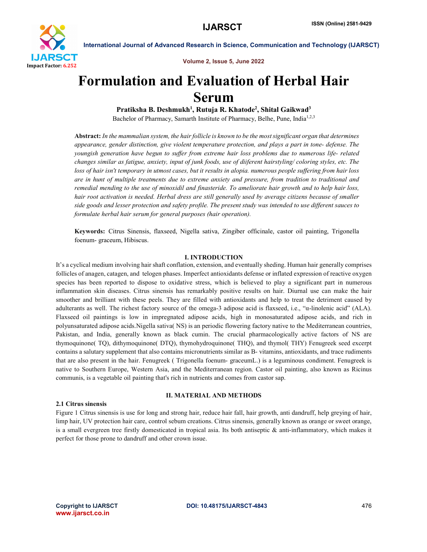

Volume 2, Issue 5, June 2022

# Formulation and Evaluation of Herbal Hair Serum

Pratiksha B. Deshmukh<sup>1</sup>, Rutuja R. Khatode<sup>2</sup>, Shital Gaikwad<sup>3</sup> Bachelor of Pharmacy, Samarth Institute of Pharmacy, Belhe, Pune, India<sup>1,2,3</sup>

Abstract: *In the mammalian system, the hair follicle is known to be the most significant organ that determines appearance, gender distinction, give violent temperature protection, and plays a part in tone- defense. The youngish generation have begun to suffer from extreme hair loss problems due to numerous life- related changes similar as fatigue, anxiety, input of junk foods, use of diiferent hairstyling/ coloring styles, etc. The loss of hair isn't temporary in utmost cases, but it results in alopia. numerous people suffering from hair loss are in hunt of multiple treatments due to extreme anxiety and pressure, from tradition to traditional and remedial mending to the use of minoxidil and finasteride. To ameliorate hair growth and to help hair loss, hair root activation is needed. Herbal dress are still generally used by average citizens because of smaller side goods and lesser protection and safety profile. The present study was intended to use different sauces to formulate herbal hair serum for general purposes (hair operation).*

Keywords: Citrus Sinensis, flaxseed, Nigella sativa, Zingiber officinale, castor oil painting, Trigonella foenum- graceum, Hibiscus.

#### I. INTRODUCTION

It's a cyclical medium involving hair shaft conflation, extension, and eventually sheding. Human hair generally comprises follicles of anagen, catagen, and telogen phases. Imperfect antioxidants defense or inflated expression of reactive oxygen species has been reported to dispose to oxidative stress, which is believed to play a significant part in numerous inflammation skin diseases. Citrus sinensis has remarkably positive results on hair. Diurnal use can make the hair smoother and brilliant with these peels. They are filled with antioxidants and help to treat the detriment caused by adulterants as well. The richest factory source of the omega-3 adipose acid is flaxseed, i.e., "α-linolenic acid" (ALA). Flaxseed oil paintings is low in impregnated adipose acids, high in monosaturated adipose acids, and rich in polyunsaturated adipose acids.Nigella sativa( NS) is an periodic flowering factory native to the Mediterranean countries, Pakistan, and India, generally known as black cumin. The crucial pharmacologically active factors of NS are thymoquinone( TQ), dithymoquinone( DTQ), thymohydroquinone( THQ), and thymol( THY) Fenugreek seed excerpt contains a salutary supplement that also contains micronutrients similar as B- vitamins, antioxidants, and trace rudiments that are also present in the hair. Fenugreek ( Trigonella foenum- graceumL.) is a leguminous condiment. Fenugreek is native to Southern Europe, Western Asia, and the Mediterranean region. Castor oil painting, also known as Ricinus communis, is a vegetable oil painting that's rich in nutrients and comes from castor sap.

### 2.1 Citrus sinensis

#### II. MATERIAL AND METHODS

Figure 1 Citrus sinensis is use for long and strong hair, reduce hair fall, hair growth, anti dandruff, help greying of hair, limp hair, UV protection hair care, control sebum creations. Citrus sinensis, generally known as orange or sweet orange, is a small evergreen tree firstly domesticated in tropical asia. Its both antiseptic  $\&$  anti-inflammatory, which makes it perfect for those prone to dandruff and other crown issue.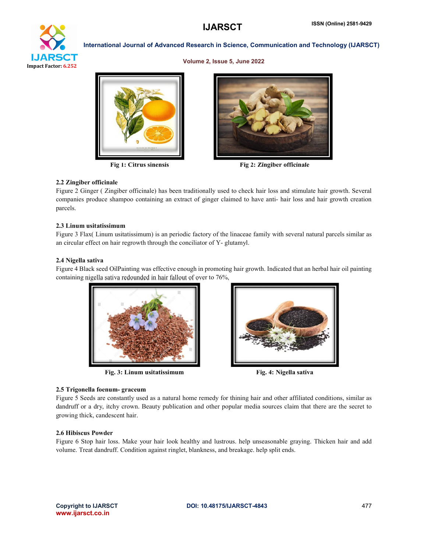

Volume 2, Issue 5, June 2022





Fig 1: Citrus sinensis Fig 2: Zingiber officinale

### 2.2 Zingiber officinale

Figure 2 Ginger ( Zingiber officinale) has been traditionally used to check hair loss and stimulate hair growth. Several companies produce shampoo containing an extract of ginger claimed to have anti- hair loss and hair growth creation parcels.

### 2.3 Linum usitatissimum

Figure 3 Flax( Linum usitatissimum) is an periodic factory of the linaceae family with several natural parcels similar as an circular effect on hair regrowth through the conciliator of Y- glutamyl.

# 2.4 Nigella sativa

Figure 4 Black seed OilPainting was effective enough in promoting hair growth. Indicated that an herbal hair oil painting containing nigella sativa redounded in hair fallout of over to 76%.



Fig. 3: Linum usitatissimum Fig. 4: Nigella sativa



# 2.5 Trigonella foenum- graceum

Figure 5 Seeds are constantly used as a natural home remedy for thining hair and other affiliated conditions, similar as dandruff or a dry, itchy crown. Beauty publication and other popular media sources claim that there are the secret to growing thick, candescent hair.

# 2.6 Hibiscus Powder

Figure 6 Stop hair loss. Make your hair look healthy and lustrous. help unseasonable graying. Thicken hair and add volume. Treat dandruff. Condition against ringlet, blankness, and breakage. help split ends.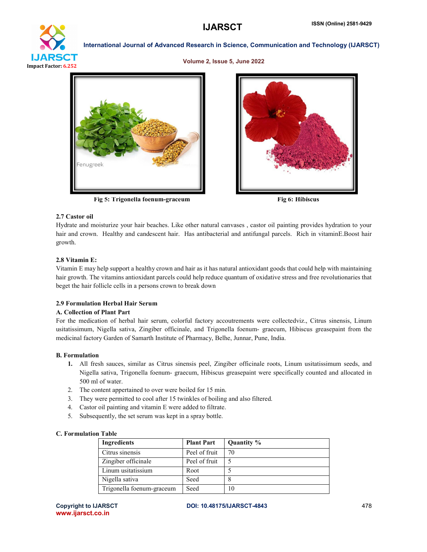

#### Volume 2, Issue 5, June 2022



Fig 5: Trigonella foenum-graceum Fig 6: Hibiscus



### 2.7 Castor oil

Hydrate and moisturize your hair beaches. Like other natural canvases , castor oil painting provides hydration to your hair and crown. Healthy and candescent hair. Has antibacterial and antifungal parcels. Rich in vitaminE.Boost hair growth.

# 2.8 Vitamin E:

Vitamin E may help support a healthy crown and hair as it has natural antioxidant goods that could help with maintaining hair growth. The vitamins antioxidant parcels could help reduce quantum of oxidative stress and free revolutionaries that beget the hair follicle cells in a persons crown to break down

### 2.9 Formulation Herbal Hair Serum

### A. Collection of Plant Part

For the medication of herbal hair serum, colorful factory accoutrements were collectedviz., Citrus sinensis, Linum usitatissimum, Nigella sativa, Zingiber officinale, and Trigonella foenum- graecum, Hibiscus greasepaint from the medicinal factory Garden of Samarth Institute of Pharmacy, Belhe, Junnar, Pune, India.

# B. Formulation

- 1. All fresh sauces, similar as Citrus sinensis peel, Zingiber officinale roots, Linum usitatissimum seeds, and Nigella sativa, Trigonella foenum- graecum, Hibiscus greasepaint were specifically counted and allocated in 500 ml of water.
- 2. The content appertained to over were boiled for 15 min.
- 3. They were permitted to cool after 15 twinkles of boiling and also filtered.
- 4. Castor oil painting and vitamin E were added to filtrate.
- 5. Subsequently, the set serum was kept in a spray bottle.

### C. Formulation Table

| Ingredients               | <b>Plant Part</b> | Quantity % |
|---------------------------|-------------------|------------|
| Citrus sinensis           | Peel of fruit     | 70         |
| Zingiber officinale       | Peel of fruit     |            |
| Linum usitatissium        | Root              |            |
| Nigella sativa            | Seed              | 8          |
| Trigonella foenum-graceum | Seed              | 10         |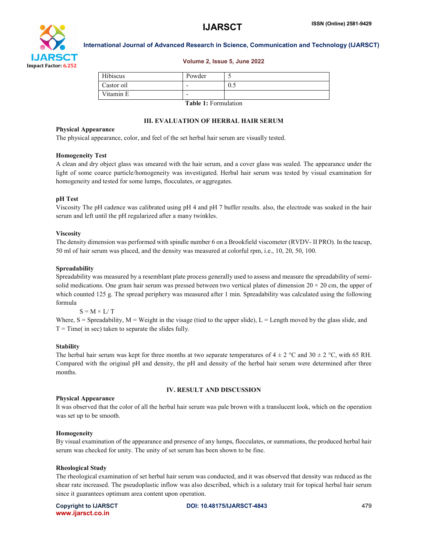

#### Volume 2, Issue 5, June 2022

| Hibiscus   | Powder    |     |
|------------|-----------|-----|
| Castor oil | -         | 0.5 |
| Vitamin E  |           |     |
|            | _ _ _ _ _ | .   |

Table 1: Formulation

# III. EVALUATION OF HERBAL HAIR SERUM

#### Physical Appearance

The physical appearance, color, and feel of the set herbal hair serum are visually tested.

#### Homogeneity Test

A clean and dry object glass was smeared with the hair serum, and a cover glass was sealed. The appearance under the light of some coarce particle/homogeneity was investigated. Herbal hair serum was tested by visual examination for homogeneity and tested for some lumps, flocculates, or aggregates.

# pH Test

Viscosity The pH cadence was calibrated using pH 4 and pH 7 buffer results. also, the electrode was soaked in the hair serum and left until the pH regularized after a many twinkles.

#### Viscosity

The density dimension was performed with spindle number 6 on a Brookfield viscometer (RVDV- II PRO). In the teacup, 50 ml of hair serum was placed, and the density was measured at colorful rpm, i.e., 10, 20, 50, 100.

#### Spreadability

Spreadability was measured by a resemblant plate process generally used to assess and measure the spreadability of semisolid medications. One gram hair serum was pressed between two vertical plates of dimension  $20 \times 20$  cm, the upper of which counted 125 g. The spread periphery was measured after 1 min. Spreadability was calculated using the following formula

# $S = M \times L/T$

Where,  $S =$  Spreadability,  $M =$  Weight in the visage (tied to the upper slide),  $L =$  Length moved by the glass slide, and  $T = Time($  in sec) taken to separate the slides fully.

# **Stability**

The herbal hair serum was kept for three months at two separate temperatures of  $4 \pm 2$  °C and  $30 \pm 2$  °C, with 65 RH. Compared with the original pH and density, the pH and density of the herbal hair serum were determined after three months.

#### IV. RESULT AND DISCUSSION

# Physical Appearance

It was observed that the color of all the herbal hair serum was pale brown with a translucent look, which on the operation was set up to be smooth.

#### Homogeneity

By visual examination of the appearance and presence of any lumps, flocculates, or summations, the produced herbal hair serum was checked for unity. The unity of set serum has been shown to be fine.

#### Rheological Study

The rheological examination of set herbal hair serum was conducted, and it was observed that density was reduced as the shear rate increased. The pseudoplastic inflow was also described, which is a salutary trait for topical herbal hair serum since it guarantees optimum area content upon operation.

|                   | <b>Copyright to IJARSCT</b> |
|-------------------|-----------------------------|
| www.ijarsct.co.in |                             |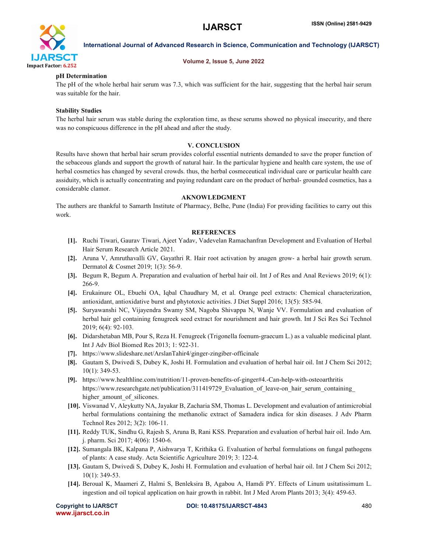

### Volume 2, Issue 5, June 2022

# pH Determination

The pH of the whole herbal hair serum was 7.3, which was sufficient for the hair, suggesting that the herbal hair serum was suitable for the hair.

# Stability Studies

The herbal hair serum was stable during the exploration time, as these serums showed no physical insecurity, and there was no conspicuous difference in the pH ahead and after the study.

# V. CONCLUSION

Results have shown that herbal hair serum provides colorful essential nutrients demanded to save the proper function of the sebaceous glands and support the growth of natural hair. In the particular hygiene and health care system, the use of herbal cosmetics has changed by several crowds. thus, the herbal cosmeceutical individual care or particular health care assiduity, which is actually concentrating and paying redundant care on the product of herbal- grounded cosmetics, has a considerable clamor.

### AKNOWLEDGMENT

The authers are thankful to Samarth Institute of Pharmacy, Belhe, Pune (India) For providing facilities to carry out this work.

### **REFERENCES**

- [1]. Ruchi Tiwari, Gaurav Tiwari, Ajeet Yadav, Vadevelan Ramachanfran Development and Evaluation of Herbal Hair Serum Research Article 2021.
- [2]. Aruna V, Amruthavalli GV, Gayathri R. Hair root activation by anagen grow- a herbal hair growth serum. Dermatol & Cosmet 2019; 1(3): 56-9.
- [3]. Begum R, Begum A. Preparation and evaluation of herbal hair oil. Int J of Res and Anal Reviews 2019; 6(1): 266-9.
- [4]. Erukainure OL, Ebuehi OA, Iqbal Chaudhary M, et al. Orange peel extracts: Chemical characterization, antioxidant, antioxidative burst and phytotoxic activities. J Diet Suppl 2016; 13(5): 585-94.
- [5]. Suryawanshi NC, Vijayendra Swamy SM, Nagoba Shivappa N, Wanje VV. Formulation and evaluation of herbal hair gel containing fenugreek seed extract for nourishment and hair growth. Int J Sci Res Sci Technol 2019; 6(4): 92-103.
- [6]. Didarshetaban MB, Pour S, Reza H. Fenugreek (Trigonella foenum-graecum L.) as a valuable medicinal plant. Int J Adv Biol Biomed Res 2013; 1: 922-31.
- [7]. https://www.slideshare.net/ArslanTahir4/ginger-zingiber-officinale
- [8]. Gautam S, Dwivedi S, Dubey K, Joshi H. Formulation and evaluation of herbal hair oil. Int J Chem Sci 2012; 10(1): 349-53.
- [9]. https://www.healthline.com/nutrition/11-proven-benefits-of-ginger#4.-Can-help-with-osteoarthritis https://www.researchgate.net/publication/311419729\_Evaluation\_of\_leave-on\_hair\_serum\_containing higher amount of silicones.
- [10]. Viswanad V, Aleykutty NA, Jayakar B, Zacharia SM, Thomas L. Development and evaluation of antimicrobial herbal formulations containing the methanolic extract of Samadera indica for skin diseases. J Adv Pharm Technol Res 2012; 3(2): 106-11.
- [11]. Reddy TUK, Sindhu G, Rajesh S, Aruna B, Rani KSS. Preparation and evaluation of herbal hair oil. Indo Am. j. pharm. Sci 2017; 4(06): 1540-6.
- [12]. Sumangala BK, Kalpana P, Aishwarya T, Krithika G. Evaluation of herbal formulations on fungal pathogens of plants: A case study. Acta Scientific Agriculture 2019; 3: 122-4.
- [13]. Gautam S, Dwivedi S, Dubey K, Joshi H. Formulation and evaluation of herbal hair oil. Int J Chem Sci 2012; 10(1): 349-53.
- [14]. Beroual K, Maameri Z, Halmi S, Benleksira B, Agabou A, Hamdi PY. Effects of Linum usitatissimum L. ingestion and oil topical application on hair growth in rabbit. Int J Med Arom Plants 2013; 3(4): 459-63.